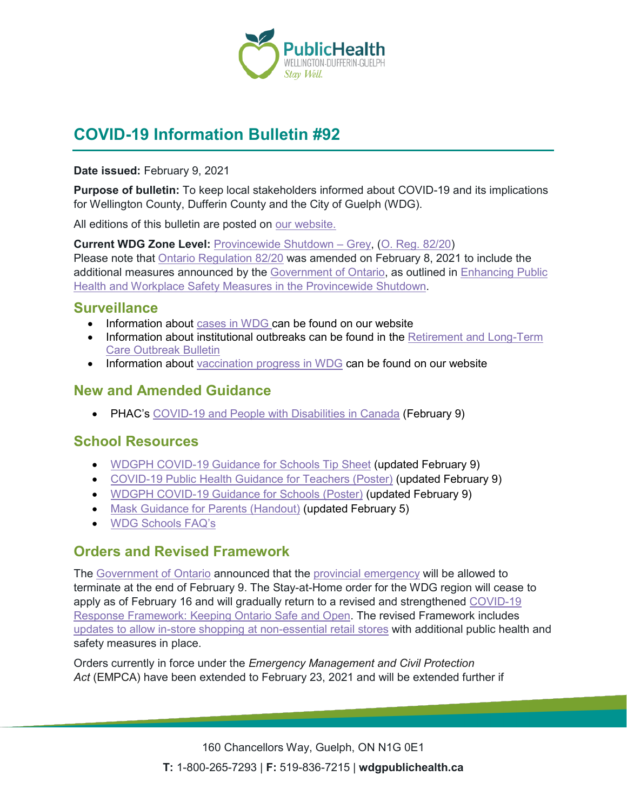

# **COVID-19 Information Bulletin #92**

#### **Date issued:** February 9, 2021

**Purpose of bulletin:** To keep local stakeholders informed about COVID-19 and its implications for Wellington County, Dufferin County and the City of Guelph (WDG).

All editions of this bulletin are posted on [our website.](https://www.wdgpublichealth.ca/your-health/covid-19-information-workplaces-and-living-spaces/community-stakeholder-bulletins)

**Current WDG Zone Level:** [Provincewide Shutdown –](https://www.ontario.ca/page/covid-19-provincewide-shutdown) Grey, (O. Reg. [82/20\)](https://www.ontario.ca/laws/regulation/200082) Please note that [Ontario Regulation 82/20](https://www.ontario.ca/laws/regulation/200082) was amended on February 8, 2021 to include the additional measures announced by the [Government](https://news.ontario.ca/en/release/59922/ontario-declares-second-provincial-emergency-to-address-covid-19-crisis-and-save-lives) of Ontario, as outlined in [Enhancing Public](https://files.ontario.ca/moh-enhanced-provincewide-shutdown-en-2021-01-12-v3.pdf)  [Health and Workplace Safety Measures in the Provincewide](https://files.ontario.ca/moh-enhanced-provincewide-shutdown-en-2021-01-12-v3.pdf) Shutdown.

### **Surveillance**

- Information about [cases in WDG](https://wdgpublichealth.ca/your-health/covid-19-information-public/status-cases-wdg) can be found on our website
- Information about institutional outbreaks can be found in the **Retirement and Long-Term** [Care Outbreak Bulletin](https://wdgpublichealth.ca/node/1542)
- Information about [vaccination progress](https://www.wdgpublichealth.ca/your-health/covid-19-information-public/covid-19-vaccine-information-public) in WDG can be found on our website

## **New and Amended Guidance**

• PHAC's [COVID-19 and People with Disabilities in Canada](https://www.canada.ca/en/public-health/services/diseases/2019-novel-coronavirus-infection/guidance-documents/people-with-disabilities.html) (February 9)

## **School Resources**

- WDGPH [COVID-19 Guidance for Schools Tip Sheet](https://www.wdgpublichealth.ca/sites/default/files/wdgph_guidance_for_schools_tip_sheet_feb.9.pdf) (updated February 9)
- [COVID-19 Public Health Guidance for Teachers \(Poster\)](https://www.wdgpublichealth.ca/sites/default/files/wdgph_resource_for_teachers_poster_feb._9.pdf) (updated February 9)
- WDGPH [COVID-19 Guidance for Schools \(Poster\)](https://www.wdgpublichealth.ca/sites/default/files/wdgph_resource_for_schools_poster_feb.9.pdf) (updated February 9)
- [Mask Guidance for Parents \(Handout\)](https://www.wdgpublichealth.ca/sites/default/files/mask_guidance_for_parents_feb._5.pdf) (updated February 5)
- WDG [Schools FAQ's](https://www.wdgpublichealth.ca/your-health/covid-19-information-schools-parents-and-teachers/schools-frequently-asked-questions)

## **Orders and Revised Framework**

The [Government of Ontario](https://news.ontario.ca/en/release/60261/ontario-extending-stay-at-home-order-across-most-of-the-province-to-save-lives) announced that the [provincial emergency](https://www.ontario.ca/page/enhancing-public-health-and-workplace-safety-measures-provincewide-shutdown) will be allowed to terminate at the end of February 9. The Stay-at-Home order for the WDG region will cease to apply as of February 16 and will gradually return to a revised and strengthened COVID-19 [Response Framework: Keeping Ontario Safe and Open.](https://www.ontario.ca/page/covid-19-response-framework-keeping-ontario-safe-and-open) The revised Framework includes [updates to allow in-store shopping at non-essential retail stores](https://news.ontario.ca/en/backgrounder/60260/in-person-shopping-at-retail-stores-permitted-with-public-health-and-safety-requirements-in-place) with additional public health and safety measures in place.

Orders currently in force under the *Emergency Management and Civil Protection Act* (EMPCA) have been extended to February 23, 2021 and will be extended further if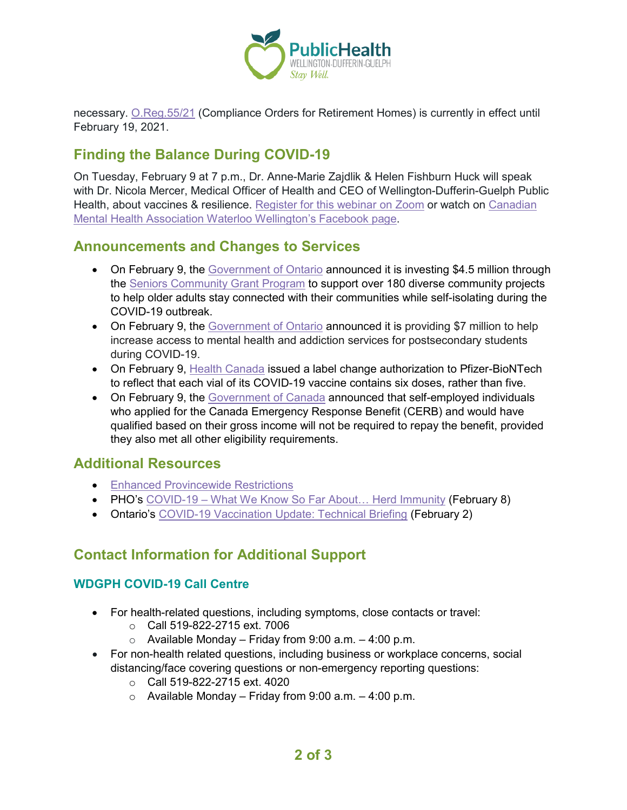

necessary. [O.Reg.55/21](https://www.ontario.ca/laws/regulation/r21055) (Compliance Orders for Retirement Homes) is currently in effect until February 19, 2021.

## **Finding the Balance During COVID-19**

On Tuesday, February 9 at 7 p.m., Dr. Anne-Marie Zajdlik & Helen Fishburn Huck will speak with Dr. Nicola Mercer, Medical Officer of Health and CEO of Wellington-Dufferin-Guelph Public Health, about vaccines & resilience. Register [for this webinar](https://us02web.zoom.us/webinar/register/WN_XuJ1MXtMSnaM1JV4FJ9hmw) on Zoom or watch on Canadian Mental Health Association [Waterloo Wellington's Facebook page.](https://www.facebook.com/cmhaww)

### **Announcements and Changes to Services**

- On February 9, the [Government of Ontario](https://news.ontario.ca/en/release/60277/ontario-helping-keep-seniors-safe-and-connected-during-covid-19) announced it is investing \$4.5 million through the [Seniors Community Grant Program](https://www.ontario.ca/page/information-seniors-organizations) to support over 180 diverse community projects to help older adults stay connected with their communities while self-isolating during the COVID-19 outbreak.
- On February 9, the [Government of Ontario](https://news.ontario.ca/en/release/60275/ontario-increases-mental-health-funding-for-postsecondary-students-1) announced it is providing \$7 million to help increase access to mental health and addiction services for postsecondary students during COVID-19.
- On February 9, [Health Canada](https://www.canada.ca/en/health-canada/news/2021/02/health-canada-issues-label-change-authorization-for-pfizer-biontech-covid-19-vaccine.html) issued a label change authorization to Pfizer-BioNTech to reflect that each vial of its COVID-19 vaccine contains six doses, rather than five.
- On February 9, the [Government of Canada](https://www.canada.ca/en/revenue-agency/news/2021/02/government-of-canada-announces-targeted-interest-relief-on-2020-income-tax-debt-for-low--and-middle-income-canadians.html) announced that self-employed individuals who applied for the Canada Emergency Response Benefit (CERB) and would have qualified based on their gross income will not be required to repay the benefit, provided they also met all other eligibility requirements.

## **Additional Resources**

- [Enhanced Provincewide Restrictions](https://www.ontario.ca/page/enhancing-public-health-and-workplace-safety-measures-provincewide-shutdown)
- PHO's COVID-19 What We Know So Far About... Herd Immunity (February 8)
- Ontario's [COVID-19 Vaccination Update: Technical Briefing](https://files.ontario.ca/moh-vaccine-update-tech-briefing-en-2021-02-03.pdf) (February 2)

## **Contact Information for Additional Support**

### **WDGPH COVID-19 Call Centre**

- For health-related questions, including symptoms, close contacts or travel:
	- o Call 519-822-2715 ext. 7006
	- $\circ$  Available Monday Friday from 9:00 a.m. 4:00 p.m.
- For non-health related questions, including business or workplace concerns, social distancing/face covering questions or non-emergency reporting questions:
	- o Call 519-822-2715 ext. 4020
	- $\circ$  Available Monday Friday from 9:00 a.m. 4:00 p.m.